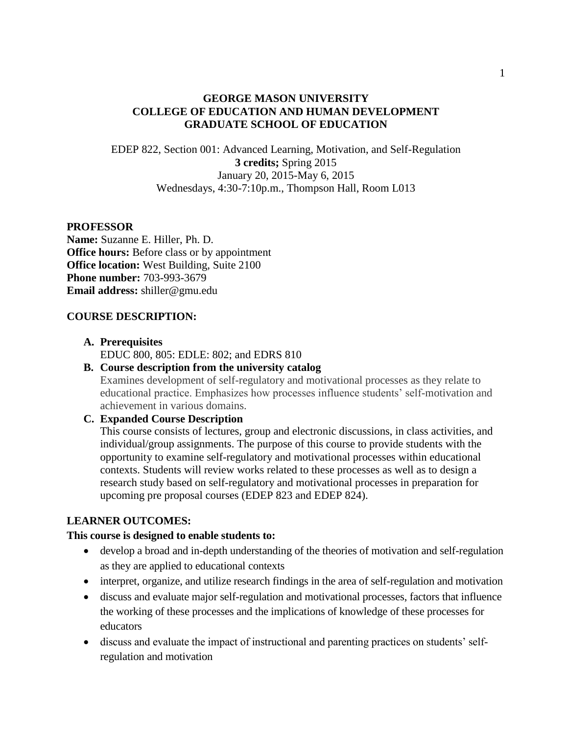## **GEORGE MASON UNIVERSITY COLLEGE OF EDUCATION AND HUMAN DEVELOPMENT GRADUATE SCHOOL OF EDUCATION**

EDEP 822, Section 001: Advanced Learning, Motivation, and Self-Regulation **3 credits;** Spring 2015 January 20, 2015-May 6, 2015 Wednesdays, 4:30-7:10p.m., Thompson Hall, Room L013

### **PROFESSOR**

**Name:** Suzanne E. Hiller, Ph. D. **Office hours:** Before class or by appointment **Office location:** West Building, Suite 2100 **Phone number:** 703-993-3679 **Email address:** shiller@gmu.edu

### **COURSE DESCRIPTION:**

### **A. Prerequisites**

EDUC 800, 805: EDLE: 802; and EDRS 810

## **B. Course description from the university catalog**

Examines development of self-regulatory and motivational processes as they relate to educational practice. Emphasizes how processes influence students' self-motivation and achievement in various domains.

## **C. Expanded Course Description**

This course consists of lectures, group and electronic discussions, in class activities, and individual/group assignments. The purpose of this course to provide students with the opportunity to examine self-regulatory and motivational processes within educational contexts. Students will review works related to these processes as well as to design a research study based on self-regulatory and motivational processes in preparation for upcoming pre proposal courses (EDEP 823 and EDEP 824).

## **LEARNER OUTCOMES:**

### **This course is designed to enable students to:**

- develop a broad and in-depth understanding of the theories of motivation and self-regulation as they are applied to educational contexts
- interpret, organize, and utilize research findings in the area of self-regulation and motivation
- discuss and evaluate major self-regulation and motivational processes, factors that influence the working of these processes and the implications of knowledge of these processes for educators
- discuss and evaluate the impact of instructional and parenting practices on students' selfregulation and motivation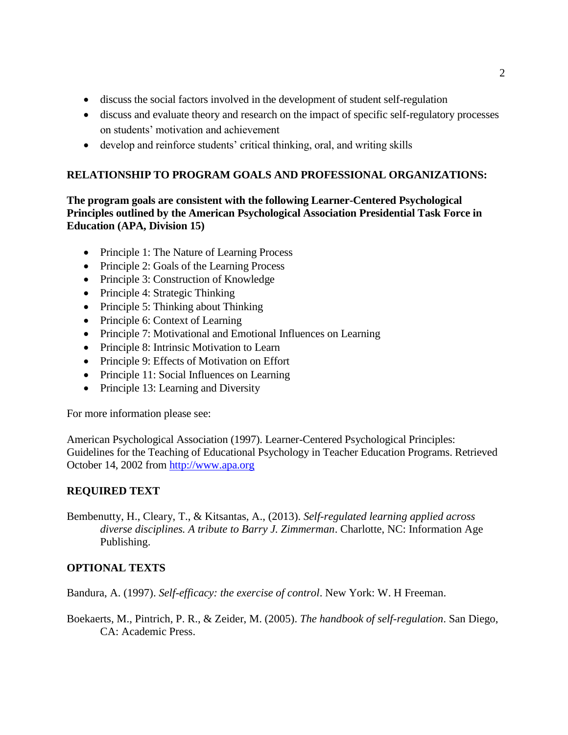- discuss the social factors involved in the development of student self-regulation
- discuss and evaluate theory and research on the impact of specific self-regulatory processes on students' motivation and achievement
- develop and reinforce students' critical thinking, oral, and writing skills

## **RELATIONSHIP TO PROGRAM GOALS AND PROFESSIONAL ORGANIZATIONS:**

**The program goals are consistent with the following Learner-Centered Psychological Principles outlined by the American Psychological Association Presidential Task Force in Education (APA, Division 15)**

- Principle 1: The Nature of Learning Process
- Principle 2: Goals of the Learning Process
- Principle 3: Construction of Knowledge
- Principle 4: Strategic Thinking
- Principle 5: Thinking about Thinking
- Principle 6: Context of Learning
- Principle 7: Motivational and Emotional Influences on Learning
- Principle 8: Intrinsic Motivation to Learn
- Principle 9: Effects of Motivation on Effort
- Principle 11: Social Influences on Learning
- $\bullet$  Principle 13: Learning and Diversity

For more information please see:

American Psychological Association (1997). Learner-Centered Psychological Principles: Guidelines for the Teaching of Educational Psychology in Teacher Education Programs. Retrieved October 14, 2002 from [http://www.apa.org](http://www.apa.org/)

## **REQUIRED TEXT**

Bembenutty, H., Cleary, T., & Kitsantas, A., (2013). *Self-regulated learning applied across diverse disciplines. A tribute to Barry J. Zimmerman*. Charlotte, NC: Information Age Publishing.

## **OPTIONAL TEXTS**

Bandura, A. (1997). *Self-efficacy: the exercise of control*. New York: W. H Freeman.

Boekaerts, M., Pintrich, P. R., & Zeider, M. (2005). *The handbook of self-regulation*. San Diego, CA: Academic Press.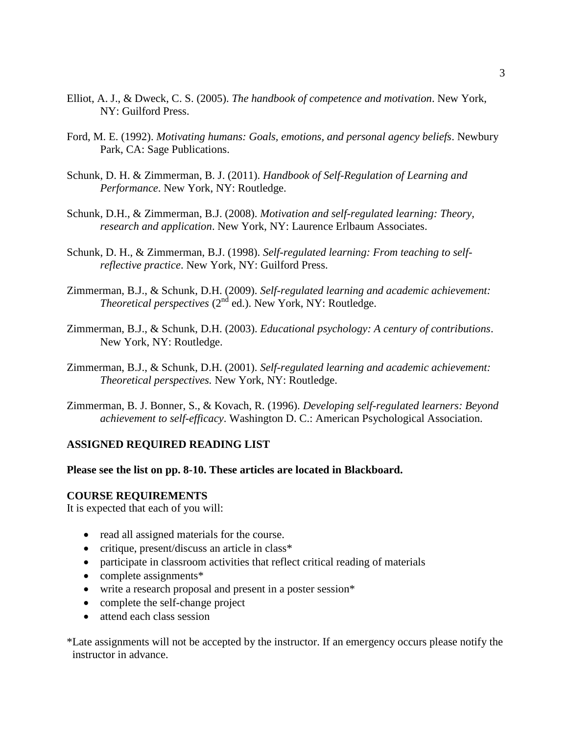- Elliot, A. J., & Dweck, C. S. (2005). *The handbook of competence and motivation*. New York, NY: Guilford Press.
- Ford, M. E. (1992). *Motivating humans: Goals, emotions, and personal agency beliefs*. Newbury Park, CA: Sage Publications.
- Schunk, D. H. & Zimmerman, B. J. (2011). *Handbook of Self-Regulation of Learning and Performance*. New York, NY: Routledge.
- Schunk, D.H., & Zimmerman, B.J. (2008). *Motivation and self-regulated learning: Theory, research and application*. New York, NY: Laurence Erlbaum Associates.
- Schunk, D. H., & Zimmerman, B.J. (1998). *Self-regulated learning: From teaching to selfreflective practice*. New York, NY: Guilford Press.
- Zimmerman, B.J., & Schunk, D.H. (2009). *Self-regulated learning and academic achievement: Theoretical perspectives* (2<sup>nd</sup> ed.). New York, NY: Routledge.
- Zimmerman, B.J., & Schunk, D.H. (2003). *Educational psychology: A century of contributions*. New York, NY: Routledge.
- Zimmerman, B.J., & Schunk, D.H. (2001). *Self-regulated learning and academic achievement: Theoretical perspectives.* New York, NY: Routledge.
- Zimmerman, B. J. Bonner, S., & Kovach, R. (1996). *Developing self-regulated learners: Beyond achievement to self-efficacy*. Washington D. C.: American Psychological Association.

### **ASSIGNED REQUIRED READING LIST**

#### **Please see the list on pp. 8-10. These articles are located in Blackboard.**

### **COURSE REQUIREMENTS**

It is expected that each of you will:

- read all assigned materials for the course.
- critique, present/discuss an article in class\*
- participate in classroom activities that reflect critical reading of materials
- complete assignments\*
- write a research proposal and present in a poster session\*
- complete the self-change project
- attend each class session

\*Late assignments will not be accepted by the instructor. If an emergency occurs please notify the instructor in advance.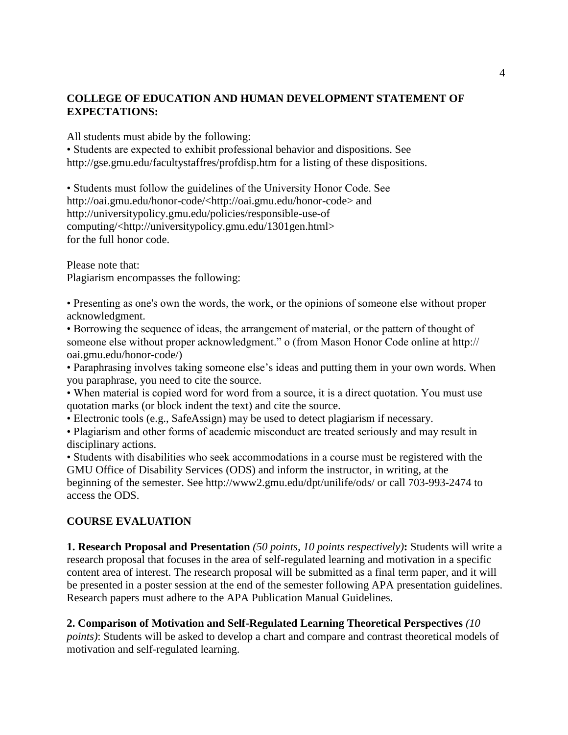## **COLLEGE OF EDUCATION AND HUMAN DEVELOPMENT STATEMENT OF EXPECTATIONS:**

All students must abide by the following:

• Students are expected to exhibit professional behavior and dispositions. See http://gse.gmu.edu/facultystaffres/profdisp.htm for a listing of these dispositions.

• Students must follow the guidelines of the University Honor Code. See http://oai.gmu.edu/honor-code/<http://oai.gmu.edu/honor-code> and http://universitypolicy.gmu.edu/policies/responsible-use-of computing/<http://universitypolicy.gmu.edu/1301gen.html> for the full honor code.

Please note that: Plagiarism encompasses the following:

• Presenting as one's own the words, the work, or the opinions of someone else without proper acknowledgment.

• Borrowing the sequence of ideas, the arrangement of material, or the pattern of thought of someone else without proper acknowledgment." o (from Mason Honor Code online at http:// oai.gmu.edu/honor-code/)

• Paraphrasing involves taking someone else's ideas and putting them in your own words. When you paraphrase, you need to cite the source.

• When material is copied word for word from a source, it is a direct quotation. You must use quotation marks (or block indent the text) and cite the source.

• Electronic tools (e.g., SafeAssign) may be used to detect plagiarism if necessary.

• Plagiarism and other forms of academic misconduct are treated seriously and may result in disciplinary actions.

• Students with disabilities who seek accommodations in a course must be registered with the GMU Office of Disability Services (ODS) and inform the instructor, in writing, at the beginning of the semester. See http://www2.gmu.edu/dpt/unilife/ods/ or call 703-993-2474 to access the ODS.

## **COURSE EVALUATION**

**1. Research Proposal and Presentation** *(50 points, 10 points respectively)***:** Students will write a research proposal that focuses in the area of self-regulated learning and motivation in a specific content area of interest. The research proposal will be submitted as a final term paper, and it will be presented in a poster session at the end of the semester following APA presentation guidelines. Research papers must adhere to the APA Publication Manual Guidelines.

**2. Comparison of Motivation and Self-Regulated Learning Theoretical Perspectives** *(10 points)*: Students will be asked to develop a chart and compare and contrast theoretical models of motivation and self-regulated learning.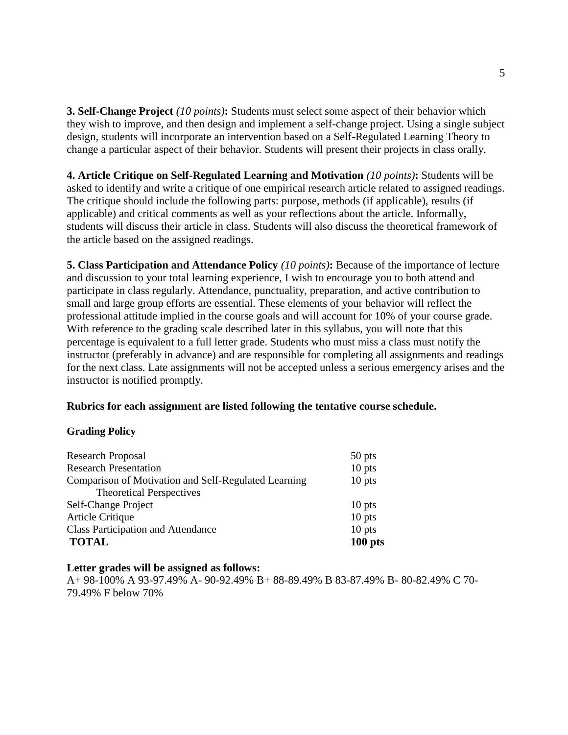**3. Self-Change Project** *(10 points)***:** Students must select some aspect of their behavior which they wish to improve, and then design and implement a self-change project. Using a single subject design, students will incorporate an intervention based on a Self-Regulated Learning Theory to change a particular aspect of their behavior. Students will present their projects in class orally.

**4. Article Critique on Self-Regulated Learning and Motivation** *(10 points)***:** Students will be asked to identify and write a critique of one empirical research article related to assigned readings. The critique should include the following parts: purpose, methods (if applicable), results (if applicable) and critical comments as well as your reflections about the article. Informally, students will discuss their article in class. Students will also discuss the theoretical framework of the article based on the assigned readings.

**5. Class Participation and Attendance Policy** *(10 points)***:** Because of the importance of lecture and discussion to your total learning experience, I wish to encourage you to both attend and participate in class regularly. Attendance, punctuality, preparation, and active contribution to small and large group efforts are essential. These elements of your behavior will reflect the professional attitude implied in the course goals and will account for 10% of your course grade. With reference to the grading scale described later in this syllabus, you will note that this percentage is equivalent to a full letter grade. Students who must miss a class must notify the instructor (preferably in advance) and are responsible for completing all assignments and readings for the next class. Late assignments will not be accepted unless a serious emergency arises and the instructor is notified promptly.

## **Rubrics for each assignment are listed following the tentative course schedule.**

### **Grading Policy**

| <b>Research Proposal</b>                             | 50 pts    |
|------------------------------------------------------|-----------|
| <b>Research Presentation</b>                         | $10$ pts  |
| Comparison of Motivation and Self-Regulated Learning | $10$ pts  |
| <b>Theoretical Perspectives</b>                      |           |
| Self-Change Project                                  | $10$ pts  |
| <b>Article Critique</b>                              | $10$ pts  |
| <b>Class Participation and Attendance</b>            | $10$ pts  |
| <b>TOTAL</b>                                         | $100$ pts |

### **Letter grades will be assigned as follows:**

A+ 98-100% A 93-97.49% A- 90-92.49% B+ 88-89.49% B 83-87.49% B- 80-82.49% C 70- 79.49% F below 70%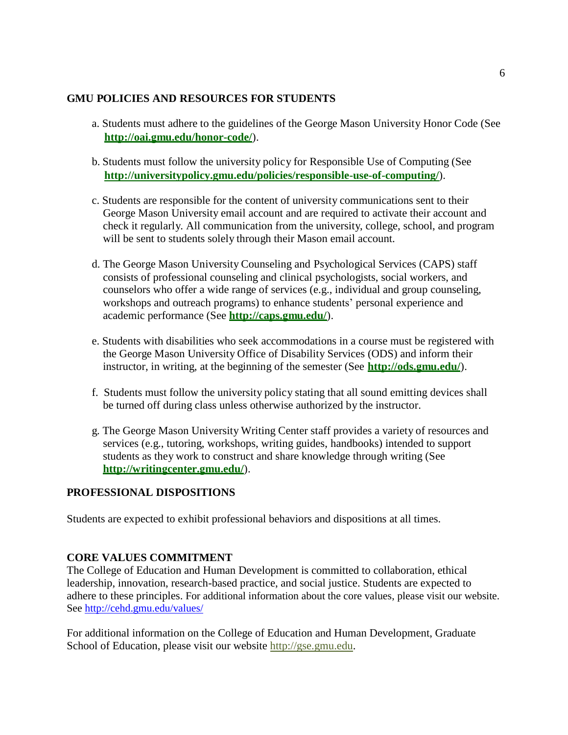## **GMU POLICIES AND RESOURCES FOR STUDENTS**

- a. Students must adhere to the guidelines of the George Mason University Honor Code (See **http://oai.gmu.edu/honor-code/**).
- b. Students must follow the university policy for Responsible Use of Computing (See **http://universitypolicy.gmu.edu/policies/responsible-use-of-computing/**).
- c. Students are responsible for the content of university communications sent to their George Mason University email account and are required to activate their account and check it regularly. All communication from the university, college, school, and program will be sent to students solely through their Mason email account.
- d. The George Mason University Counseling and Psychological Services (CAPS) staff consists of professional counseling and clinical psychologists, social workers, and counselors who offer a wide range of services (e.g., individual and group counseling, workshops and outreach programs) to enhance students' personal experience and academic performance (See **<http://caps.gmu.edu/>**).
- e. Students with disabilities who seek accommodations in a course must be registered with the George Mason University Office of Disability Services (ODS) and inform their instructor, in writing, at the beginning of the semester (See **<http://ods.gmu.edu/>**).
- f. Students must follow the university policy stating that all sound emitting devices shall be turned off during class unless otherwise authorized by the instructor.
- g. The George Mason University Writing Center staff provides a variety of resources and services (e.g., tutoring, workshops, writing guides, handbooks) intended to support students as they work to construct and share knowledge through writing (See **<http://writingcenter.gmu.edu/>**).

## **PROFESSIONAL DISPOSITIONS**

Students are expected to exhibit professional behaviors and dispositions at all times.

## **CORE VALUES COMMITMENT**

The College of Education and Human Development is committed to collaboration, ethical leadership, innovation, research-based practice, and social justice. Students are expected to adhere to these principles. For additional information about the core values, please visit our website. See<http://cehd.gmu.edu/values/>

For additional information on the College of Education and Human Development, Graduate School of Education, please visit our website http://gse.gmu.edu.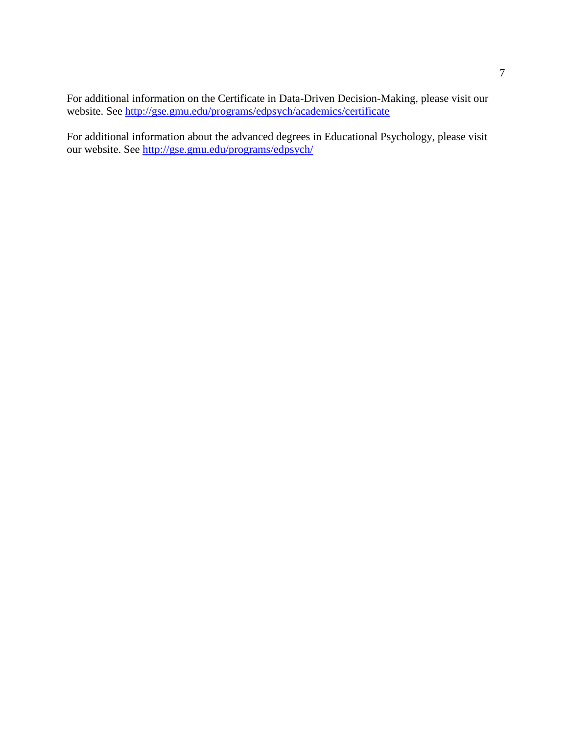For additional information on the Certificate in Data-Driven Decision-Making, please visit our website. See<http://gse.gmu.edu/programs/edpsych/academics/certificate>

For additional information about the advanced degrees in Educational Psychology, please visit our website. See<http://gse.gmu.edu/programs/edpsych/>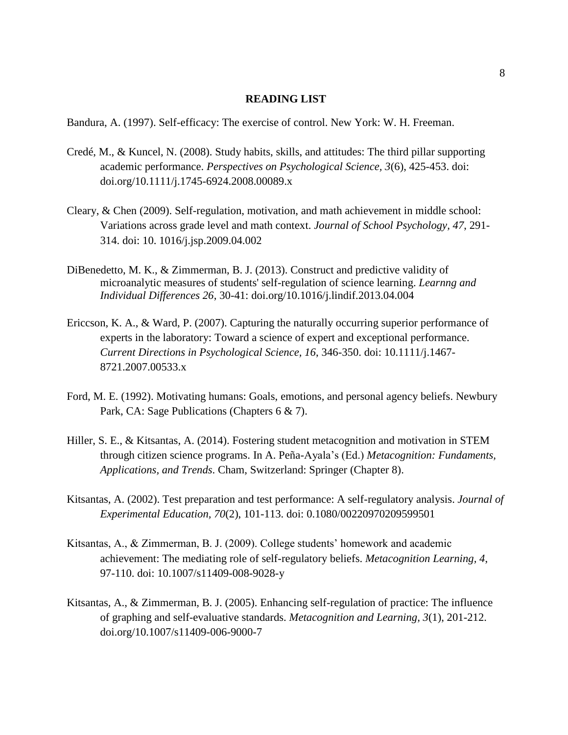### **READING LIST**

Bandura, A. (1997). Self-efficacy: The exercise of control. New York: W. H. Freeman.

- Credé, M., & Kuncel, N. (2008). Study habits, skills, and attitudes: The third pillar supporting academic performance. *Perspectives on Psychological Science, 3*(6), 425-453. doi: doi.org/10.1111/j.1745-6924.2008.00089.x
- Cleary, & Chen (2009). Self-regulation, motivation, and math achievement in middle school: Variations across grade level and math context. *Journal of School Psychology, 47*, 291- 314. doi: 10. 1016/j.jsp.2009.04.002
- DiBenedetto, M. K., & Zimmerman, B. J. (2013). Construct and predictive validity of microanalytic measures of students' self-regulation of science learning. *Learnng and Individual Differences 26*, 30-41: doi.org/10.1016/j.lindif.2013.04.004
- Ericcson, K. A., & Ward, P. (2007). Capturing the naturally occurring superior performance of experts in the laboratory: Toward a science of expert and exceptional performance. *Current Directions in Psychological Science, 16*, 346-350. doi: 10.1111/j.1467- 8721.2007.00533.x
- Ford, M. E. (1992). Motivating humans: Goals, emotions, and personal agency beliefs. Newbury Park, CA: Sage Publications (Chapters 6 & 7).
- Hiller, S. E., & Kitsantas, A. (2014). Fostering student metacognition and motivation in STEM through citizen science programs. In A. Peña-Ayala's (Ed.) *Metacognition: Fundaments, Applications, and Trends*. Cham, Switzerland: Springer (Chapter 8).
- Kitsantas, A. (2002). Test preparation and test performance: A self-regulatory analysis. *Journal of Experimental Education, 70*(2), 101-113. doi: 0.1080/00220970209599501
- Kitsantas, A., & Zimmerman, B. J. (2009). College students' homework and academic achievement: The mediating role of self-regulatory beliefs. *Metacognition Learning, 4*, 97-110. doi: 10.1007/s11409-008-9028-y
- Kitsantas, A., & Zimmerman, B. J. (2005). Enhancing self-regulation of practice: The influence of graphing and self-evaluative standards. *Metacognition and Learning, 3*(1), 201-212. doi.org/10.1007/s11409-006-9000-7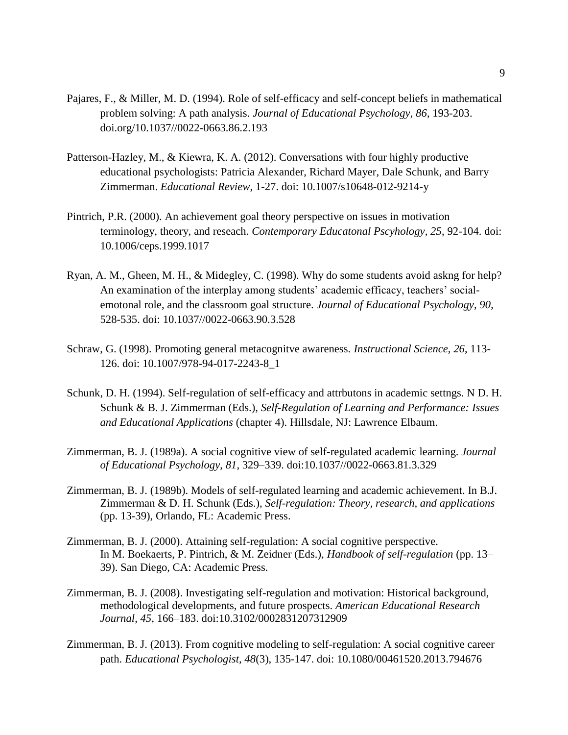- Pajares, F., & Miller, M. D. (1994). Role of self-efficacy and self-concept beliefs in mathematical problem solving: A path analysis. *Journal of Educational Psychology, 86*, 193-203. doi.org/10.1037//0022-0663.86.2.193
- Patterson-Hazley, M., & Kiewra, K. A. (2012). Conversations with four highly productive educational psychologists: Patricia Alexander, Richard Mayer, Dale Schunk, and Barry Zimmerman. *Educational Review*, 1-27. doi: 10.1007/s10648-012-9214-y
- Pintrich, P.R. (2000). An achievement goal theory perspective on issues in motivation terminology, theory, and reseach. *Contemporary Educatonal Pscyhology, 25*, 92-104. doi: 10.1006/ceps.1999.1017
- Ryan, A. M., Gheen, M. H., & Midegley, C. (1998). Why do some students avoid askng for help? An examination of the interplay among students' academic efficacy, teachers' socialemotonal role, and the classroom goal structure. *Journal of Educational Psychology, 90*, 528-535. doi: 10.1037//0022-0663.90.3.528
- Schraw, G. (1998). Promoting general metacognitve awareness. *Instructional Science, 26*, 113- 126. doi: 10.1007/978-94-017-2243-8\_1
- Schunk, D. H. (1994). Self-regulation of self-efficacy and attrbutons in academic settngs. N D. H. Schunk & B. J. Zimmerman (Eds.), *Self-Regulation of Learning and Performance: Issues and Educational Applications* (chapter 4). Hillsdale, NJ: Lawrence Elbaum.
- Zimmerman, B. J. (1989a). A social cognitive view of self-regulated academic learning. *Journal of Educational Psychology*, *81*, 329–339. doi:10.1037//0022-0663.81.3.329
- Zimmerman, B. J. (1989b). Models of self-regulated learning and academic achievement. In B.J. Zimmerman & D. H. Schunk (Eds.), *Self-regulation: Theory, research, and applications* (pp. 13-39), Orlando, FL: Academic Press.
- Zimmerman, B. J. (2000). Attaining self-regulation: A social cognitive perspective. In M. Boekaerts, P. Pintrich, & M. Zeidner (Eds.), *Handbook of self-regulation* (pp. 13– 39). San Diego, CA: Academic Press.
- Zimmerman, B. J. (2008). Investigating self-regulation and motivation: Historical background, methodological developments, and future prospects. *American Educational Research Journal*, *45*, 166–183. doi:10.3102/0002831207312909
- Zimmerman, B. J. (2013). From cognitive modeling to self-regulation: A social cognitive career path. *Educational Psychologist, 48*(3), 135-147. doi: 10.1080/00461520.2013.794676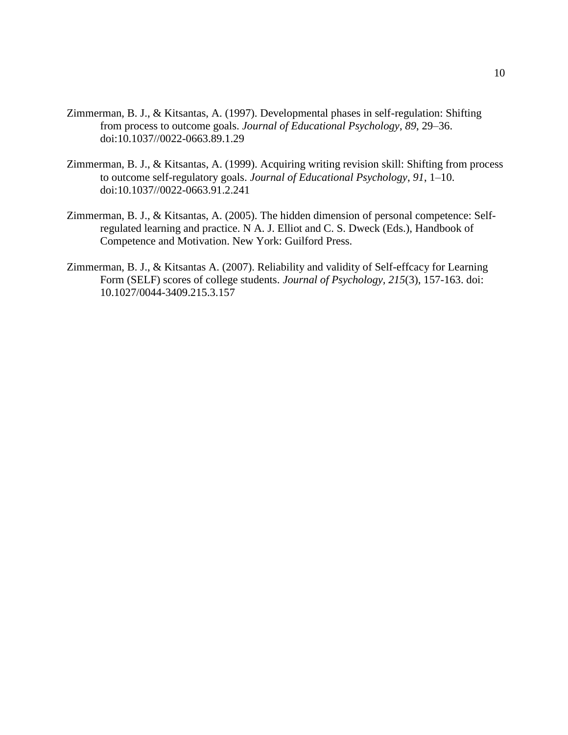- Zimmerman, B. J., & Kitsantas, A. (1997). Developmental phases in self-regulation: Shifting from process to outcome goals. *Journal of Educational Psychology*, *89*, 29–36. doi:10.1037//0022-0663.89.1.29
- Zimmerman, B. J., & Kitsantas, A. (1999). Acquiring writing revision skill: Shifting from process to outcome self-regulatory goals. *Journal of Educational Psychology*, *91*, 1–10. doi:10.1037//0022-0663.91.2.241
- Zimmerman, B. J., & Kitsantas, A. (2005). The hidden dimension of personal competence: Selfregulated learning and practice. N A. J. Elliot and C. S. Dweck (Eds.), Handbook of Competence and Motivation. New York: Guilford Press.
- Zimmerman, B. J., & Kitsantas A. (2007). Reliability and validity of Self-effcacy for Learning Form (SELF) scores of college students. *Journal of Psychology, 215*(3), 157-163. doi: 10.1027/0044-3409.215.3.157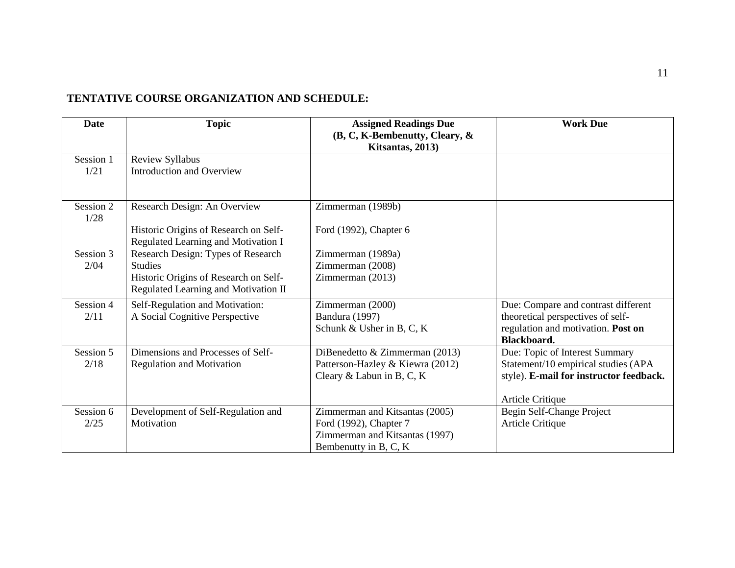## **TENTATIVE COURSE ORGANIZATION AND SCHEDULE:**

| <b>Date</b>       | <b>Topic</b>                                                                                                                          | <b>Assigned Readings Due</b><br>(B, C, K-Bembenutty, Cleary, &<br>Kitsantas, 2013)                                  | <b>Work Due</b>                                                                                                                             |
|-------------------|---------------------------------------------------------------------------------------------------------------------------------------|---------------------------------------------------------------------------------------------------------------------|---------------------------------------------------------------------------------------------------------------------------------------------|
| Session 1<br>1/21 | Review Syllabus<br>Introduction and Overview                                                                                          |                                                                                                                     |                                                                                                                                             |
| Session 2<br>1/28 | Research Design: An Overview<br>Historic Origins of Research on Self-<br>Regulated Learning and Motivation I                          | Zimmerman (1989b)<br>Ford (1992), Chapter 6                                                                         |                                                                                                                                             |
| Session 3<br>2/04 | Research Design: Types of Research<br><b>Studies</b><br>Historic Origins of Research on Self-<br>Regulated Learning and Motivation II | Zimmerman (1989a)<br>Zimmerman (2008)<br>Zimmerman (2013)                                                           |                                                                                                                                             |
| Session 4<br>2/11 | Self-Regulation and Motivation:<br>A Social Cognitive Perspective                                                                     | Zimmerman (2000)<br>Bandura (1997)<br>Schunk & Usher in B, C, K                                                     | Due: Compare and contrast different<br>theoretical perspectives of self-<br>regulation and motivation. Post on<br><b>Blackboard.</b>        |
| Session 5<br>2/18 | Dimensions and Processes of Self-<br><b>Regulation and Motivation</b>                                                                 | DiBenedetto & Zimmerman (2013)<br>Patterson-Hazley & Kiewra (2012)<br>Cleary & Labun in B, C, K                     | Due: Topic of Interest Summary<br>Statement/10 empirical studies (APA<br>style). E-mail for instructor feedback.<br><b>Article Critique</b> |
| Session 6<br>2/25 | Development of Self-Regulation and<br>Motivation                                                                                      | Zimmerman and Kitsantas (2005)<br>Ford (1992), Chapter 7<br>Zimmerman and Kitsantas (1997)<br>Bembenutty in B, C, K | Begin Self-Change Project<br>Article Critique                                                                                               |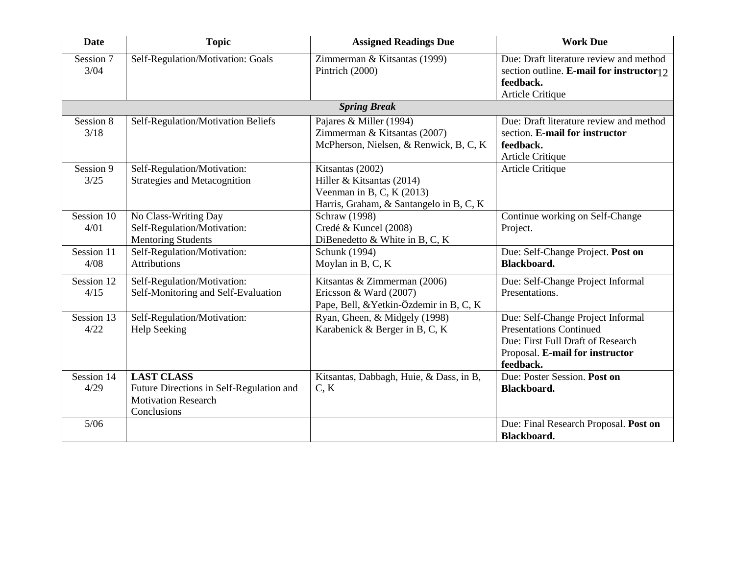| <b>Date</b>        | <b>Topic</b>                                                                                               | <b>Assigned Readings Due</b>                                                                                            | <b>Work Due</b>                                                                                                                                          |
|--------------------|------------------------------------------------------------------------------------------------------------|-------------------------------------------------------------------------------------------------------------------------|----------------------------------------------------------------------------------------------------------------------------------------------------------|
| Session 7<br>3/04  | Self-Regulation/Motivation: Goals                                                                          | Zimmerman & Kitsantas (1999)<br>Pintrich (2000)                                                                         | Due: Draft literature review and method<br>section outline. <b>E-mail for instructor</b> $\frac{1}{2}$<br>feedback.<br><b>Article Critique</b>           |
|                    |                                                                                                            | <b>Spring Break</b>                                                                                                     |                                                                                                                                                          |
| Session 8<br>3/18  | Self-Regulation/Motivation Beliefs                                                                         | Pajares & Miller (1994)<br>Zimmerman & Kitsantas (2007)<br>McPherson, Nielsen, & Renwick, B, C, K                       | Due: Draft literature review and method<br>section. E-mail for instructor<br>feedback.<br>Article Critique                                               |
| Session 9<br>3/25  | Self-Regulation/Motivation:<br><b>Strategies and Metacognition</b>                                         | Kitsantas (2002)<br>Hiller & Kitsantas (2014)<br>Veenman in B, C, K $(2013)$<br>Harris, Graham, & Santangelo in B, C, K | Article Critique                                                                                                                                         |
| Session 10<br>4/01 | No Class-Writing Day<br>Self-Regulation/Motivation:<br><b>Mentoring Students</b>                           | Schraw (1998)<br>Credé & Kuncel (2008)<br>DiBenedetto & White in B, C, K                                                | Continue working on Self-Change<br>Project.                                                                                                              |
| Session 11<br>4/08 | Self-Regulation/Motivation:<br><b>Attributions</b>                                                         | Schunk (1994)<br>Moylan in B, C, K                                                                                      | Due: Self-Change Project. Post on<br><b>Blackboard.</b>                                                                                                  |
| Session 12<br>4/15 | Self-Regulation/Motivation:<br>Self-Monitoring and Self-Evaluation                                         | Kitsantas & Zimmerman (2006)<br>Ericsson & Ward (2007)<br>Pape, Bell, & Yetkin-Özdemir in B, C, K                       | Due: Self-Change Project Informal<br>Presentations.                                                                                                      |
| Session 13<br>4/22 | Self-Regulation/Motivation:<br><b>Help Seeking</b>                                                         | Ryan, Gheen, & Midgely (1998)<br>Karabenick & Berger in B, C, K                                                         | Due: Self-Change Project Informal<br><b>Presentations Continued</b><br>Due: First Full Draft of Research<br>Proposal. E-mail for instructor<br>feedback. |
| Session 14<br>4/29 | <b>LAST CLASS</b><br>Future Directions in Self-Regulation and<br><b>Motivation Research</b><br>Conclusions | Kitsantas, Dabbagh, Huie, & Dass, in B,<br>C, K                                                                         | Due: Poster Session. Post on<br>Blackboard.                                                                                                              |
| $5/06$             |                                                                                                            |                                                                                                                         | Due: Final Research Proposal. Post on<br>Blackboard.                                                                                                     |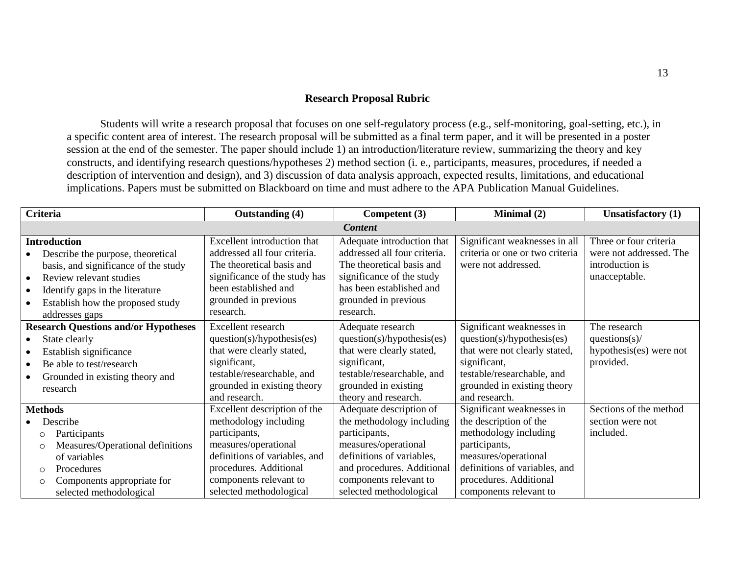## **Research Proposal Rubric**

Students will write a research proposal that focuses on one self-regulatory process (e.g., self-monitoring, goal-setting, etc.), in a specific content area of interest. The research proposal will be submitted as a final term paper, and it will be presented in a poster session at the end of the semester. The paper should include 1) an introduction/literature review, summarizing the theory and key constructs, and identifying research questions/hypotheses 2) method section (i. e., participants, measures, procedures, if needed a description of intervention and design), and 3) discussion of data analysis approach, expected results, limitations, and educational implications. Papers must be submitted on Blackboard on time and must adhere to the APA Publication Manual Guidelines.

| <b>Criteria</b>                                                                                                                                                                                                      | <b>Outstanding (4)</b>                                                                                                                                                                                         | Competent (3)                                                                                                                                                                                                 | Minimal (2)                                                                                                                                                                                                | <b>Unsatisfactory</b> (1)                                                             |
|----------------------------------------------------------------------------------------------------------------------------------------------------------------------------------------------------------------------|----------------------------------------------------------------------------------------------------------------------------------------------------------------------------------------------------------------|---------------------------------------------------------------------------------------------------------------------------------------------------------------------------------------------------------------|------------------------------------------------------------------------------------------------------------------------------------------------------------------------------------------------------------|---------------------------------------------------------------------------------------|
|                                                                                                                                                                                                                      |                                                                                                                                                                                                                | <b>Content</b>                                                                                                                                                                                                |                                                                                                                                                                                                            |                                                                                       |
| <b>Introduction</b><br>Describe the purpose, theoretical<br>basis, and significance of the study<br>Review relevant studies<br>Identify gaps in the literature<br>Establish how the proposed study<br>addresses gaps | Excellent introduction that<br>addressed all four criteria.<br>The theoretical basis and<br>significance of the study has<br>been established and<br>grounded in previous<br>research.                         | Adequate introduction that<br>addressed all four criteria.<br>The theoretical basis and<br>significance of the study<br>has been established and<br>grounded in previous<br>research.                         | Significant weaknesses in all<br>criteria or one or two criteria<br>were not addressed.                                                                                                                    | Three or four criteria<br>were not addressed. The<br>introduction is<br>unacceptable. |
| <b>Research Questions and/or Hypotheses</b><br>State clearly<br>Establish significance<br>Be able to test/research<br>Grounded in existing theory and<br>research                                                    | Excellent research<br>question(s)/hypothesis(es)<br>that were clearly stated,<br>significant,<br>testable/researchable, and<br>grounded in existing theory<br>and research.                                    | Adequate research<br>question(s)/hypothesis(es)<br>that were clearly stated,<br>significant,<br>testable/researchable, and<br>grounded in existing<br>theory and research.                                    | Significant weaknesses in<br>question(s)/hypothesis(es)<br>that were not clearly stated,<br>significant,<br>testable/researchable, and<br>grounded in existing theory<br>and research.                     | The research<br>questions $(s)$ /<br>hypothesis(es) were not<br>provided.             |
| <b>Methods</b><br>Describe<br>Participants<br>O<br>Measures/Operational definitions<br>$\circ$<br>of variables<br>Procedures<br>$\circ$<br>Components appropriate for<br>O<br>selected methodological                | Excellent description of the<br>methodology including<br>participants,<br>measures/operational<br>definitions of variables, and<br>procedures. Additional<br>components relevant to<br>selected methodological | Adequate description of<br>the methodology including<br>participants,<br>measures/operational<br>definitions of variables,<br>and procedures. Additional<br>components relevant to<br>selected methodological | Significant weaknesses in<br>the description of the<br>methodology including<br>participants,<br>measures/operational<br>definitions of variables, and<br>procedures. Additional<br>components relevant to | Sections of the method<br>section were not<br>included.                               |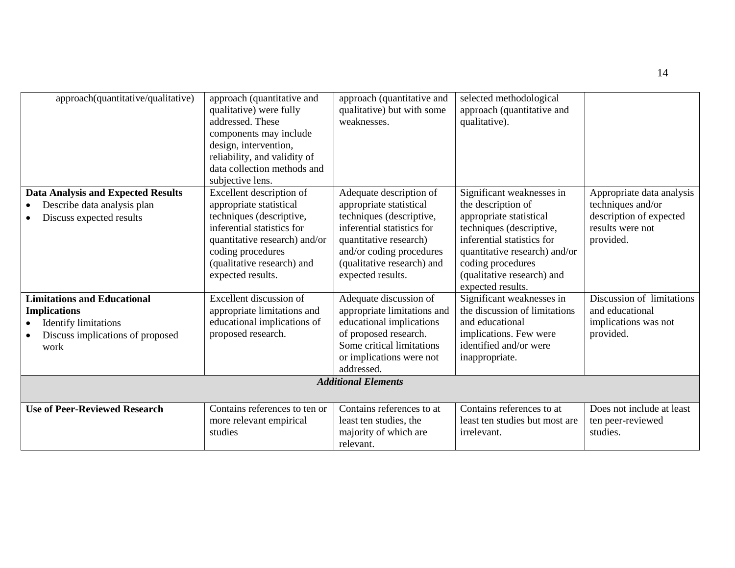| approach(quantitative/qualitative)                      | approach (quantitative and<br>qualitative) were fully<br>addressed. These<br>components may include<br>design, intervention,<br>reliability, and validity of<br>data collection methods and<br>subjective lens. | approach (quantitative and<br>qualitative) but with some<br>weaknesses.                                                                                                                    | selected methodological<br>approach (quantitative and<br>qualitative).                                                                                                                                           |                                                                               |
|---------------------------------------------------------|-----------------------------------------------------------------------------------------------------------------------------------------------------------------------------------------------------------------|--------------------------------------------------------------------------------------------------------------------------------------------------------------------------------------------|------------------------------------------------------------------------------------------------------------------------------------------------------------------------------------------------------------------|-------------------------------------------------------------------------------|
| <b>Data Analysis and Expected Results</b>               | Excellent description of                                                                                                                                                                                        | Adequate description of                                                                                                                                                                    | Significant weaknesses in                                                                                                                                                                                        | Appropriate data analysis                                                     |
| Describe data analysis plan<br>Discuss expected results | appropriate statistical<br>techniques (descriptive,<br>inferential statistics for<br>quantitative research) and/or<br>coding procedures<br>(qualitative research) and<br>expected results.                      | appropriate statistical<br>techniques (descriptive,<br>inferential statistics for<br>quantitative research)<br>and/or coding procedures<br>(qualitative research) and<br>expected results. | the description of<br>appropriate statistical<br>techniques (descriptive,<br>inferential statistics for<br>quantitative research) and/or<br>coding procedures<br>(qualitative research) and<br>expected results. | techniques and/or<br>description of expected<br>results were not<br>provided. |
| <b>Limitations and Educational</b>                      | <b>Excellent discussion of</b>                                                                                                                                                                                  | Adequate discussion of                                                                                                                                                                     | Significant weaknesses in                                                                                                                                                                                        | Discussion of limitations                                                     |
| <b>Implications</b><br><b>Identify limitations</b>      | appropriate limitations and<br>educational implications of                                                                                                                                                      | appropriate limitations and<br>educational implications                                                                                                                                    | the discussion of limitations<br>and educational                                                                                                                                                                 | and educational<br>implications was not                                       |
| Discuss implications of proposed                        | proposed research.                                                                                                                                                                                              | of proposed research.                                                                                                                                                                      | implications. Few were                                                                                                                                                                                           | provided.                                                                     |
| work                                                    |                                                                                                                                                                                                                 | Some critical limitations<br>or implications were not<br>addressed.                                                                                                                        | identified and/or were<br>inappropriate.                                                                                                                                                                         |                                                                               |
|                                                         |                                                                                                                                                                                                                 | <b>Additional Elements</b>                                                                                                                                                                 |                                                                                                                                                                                                                  |                                                                               |
| <b>Use of Peer-Reviewed Research</b>                    | Contains references to ten or<br>more relevant empirical<br>studies                                                                                                                                             | Contains references to at<br>least ten studies, the<br>majority of which are<br>relevant.                                                                                                  | Contains references to at<br>least ten studies but most are<br>irrelevant.                                                                                                                                       | Does not include at least<br>ten peer-reviewed<br>studies.                    |

14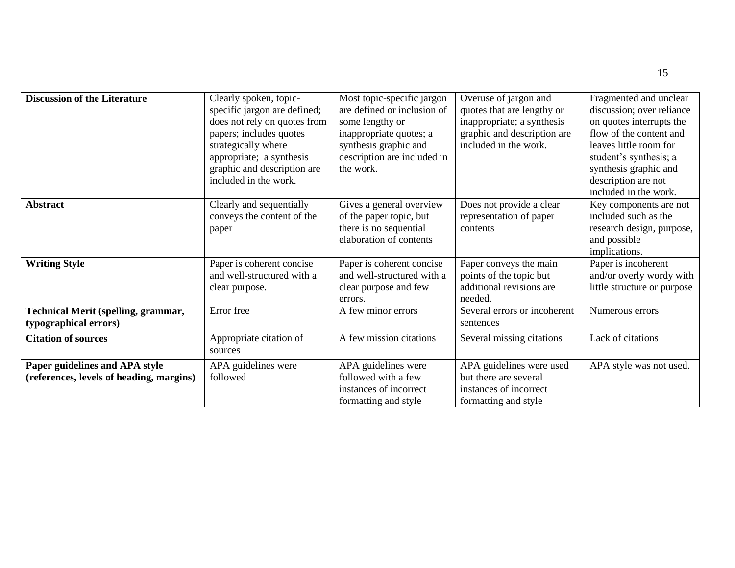| <b>Discussion of the Literature</b>        | Clearly spoken, topic-       | Most topic-specific jargon  | Overuse of jargon and        | Fragmented and unclear      |
|--------------------------------------------|------------------------------|-----------------------------|------------------------------|-----------------------------|
|                                            | specific jargon are defined; | are defined or inclusion of | quotes that are lengthy or   | discussion; over reliance   |
|                                            | does not rely on quotes from | some lengthy or             | inappropriate; a synthesis   | on quotes interrupts the    |
|                                            | papers; includes quotes      | inappropriate quotes; a     | graphic and description are  | flow of the content and     |
|                                            | strategically where          | synthesis graphic and       | included in the work.        | leaves little room for      |
|                                            | appropriate; a synthesis     | description are included in |                              | student's synthesis; a      |
|                                            | graphic and description are  | the work.                   |                              | synthesis graphic and       |
|                                            | included in the work.        |                             |                              | description are not         |
|                                            |                              |                             |                              | included in the work.       |
| <b>Abstract</b>                            | Clearly and sequentially     | Gives a general overview    | Does not provide a clear     | Key components are not      |
|                                            | conveys the content of the   | of the paper topic, but     | representation of paper      | included such as the        |
|                                            | paper                        | there is no sequential      | contents                     | research design, purpose,   |
|                                            |                              | elaboration of contents     |                              | and possible                |
|                                            |                              |                             |                              | implications.               |
| <b>Writing Style</b>                       | Paper is coherent concise    | Paper is coherent concise   | Paper conveys the main       | Paper is incoherent         |
|                                            | and well-structured with a   | and well-structured with a  | points of the topic but      | and/or overly wordy with    |
|                                            | clear purpose.               | clear purpose and few       | additional revisions are     | little structure or purpose |
|                                            |                              | errors.                     | needed.                      |                             |
| <b>Technical Merit (spelling, grammar,</b> | Error free                   | A few minor errors          | Several errors or incoherent | Numerous errors             |
| typographical errors)                      |                              |                             | sentences                    |                             |
| <b>Citation of sources</b>                 | Appropriate citation of      | A few mission citations     | Several missing citations    | Lack of citations           |
|                                            | sources                      |                             |                              |                             |
| Paper guidelines and APA style             | APA guidelines were          | APA guidelines were         | APA guidelines were used     | APA style was not used.     |
| (references, levels of heading, margins)   | followed                     | followed with a few         | but there are several        |                             |
|                                            |                              | instances of incorrect      | instances of incorrect       |                             |
|                                            |                              | formatting and style        | formatting and style         |                             |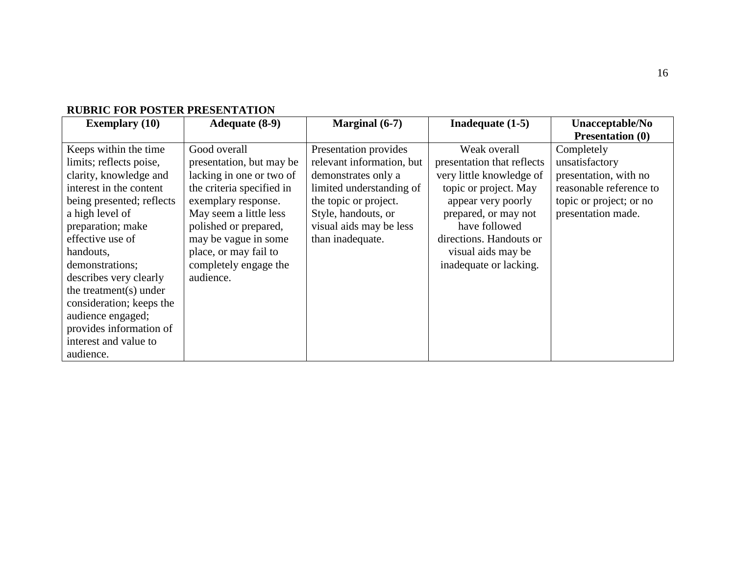| KODKIO I OK I OD I DR I KODDI (1711101 |                           |                           |                            |                         |
|----------------------------------------|---------------------------|---------------------------|----------------------------|-------------------------|
| <b>Exemplary (10)</b>                  | <b>Adequate (8-9)</b>     | Marginal (6-7)            | Inadequate $(1-5)$         | Unacceptable/No         |
|                                        |                           |                           |                            | <b>Presentation (0)</b> |
| Keeps within the time                  | Good overall              | Presentation provides     | Weak overall               | Completely              |
| limits; reflects poise,                | presentation, but may be  | relevant information, but | presentation that reflects | unsatisfactory          |
| clarity, knowledge and                 | lacking in one or two of  | demonstrates only a       | very little knowledge of   | presentation, with no   |
| interest in the content                | the criteria specified in | limited understanding of  | topic or project. May      | reasonable reference to |
| being presented; reflects              | exemplary response.       | the topic or project.     | appear very poorly         | topic or project; or no |
| a high level of                        | May seem a little less    | Style, handouts, or       | prepared, or may not       | presentation made.      |
| preparation; make                      | polished or prepared,     | visual aids may be less   | have followed              |                         |
| effective use of                       | may be vague in some      | than inadequate.          | directions. Handouts or    |                         |
| handouts,                              | place, or may fail to     |                           | visual aids may be         |                         |
| demonstrations;                        | completely engage the     |                           | inadequate or lacking.     |                         |
| describes very clearly                 | audience.                 |                           |                            |                         |
| the treatment(s) under                 |                           |                           |                            |                         |
| consideration; keeps the               |                           |                           |                            |                         |
| audience engaged;                      |                           |                           |                            |                         |
| provides information of                |                           |                           |                            |                         |
| interest and value to                  |                           |                           |                            |                         |
| audience.                              |                           |                           |                            |                         |

## **RUBRIC FOR POSTER PRESENTATION**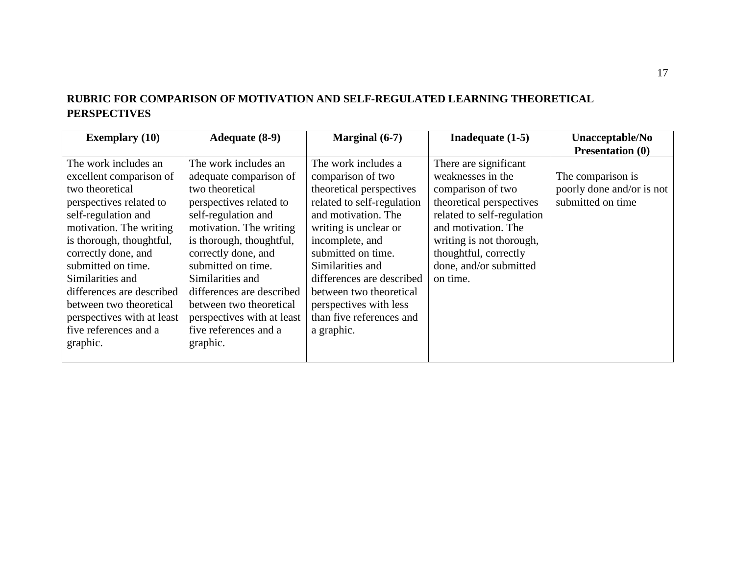## **RUBRIC FOR COMPARISON OF MOTIVATION AND SELF-REGULATED LEARNING THEORETICAL PERSPECTIVES**

| <b>Exemplary</b> (10)                                                                                                                                                                                                                                                                                                                                                   | Adequate (8-9)                                                                                                                                                                                                                                                                                                                                                         | Marginal $(6-7)$                                                                                                                                                                                                                                                                                                                            | Inadequate $(1-5)$                                                                                                                                                                                                                          | Unacceptable/No                                                     |
|-------------------------------------------------------------------------------------------------------------------------------------------------------------------------------------------------------------------------------------------------------------------------------------------------------------------------------------------------------------------------|------------------------------------------------------------------------------------------------------------------------------------------------------------------------------------------------------------------------------------------------------------------------------------------------------------------------------------------------------------------------|---------------------------------------------------------------------------------------------------------------------------------------------------------------------------------------------------------------------------------------------------------------------------------------------------------------------------------------------|---------------------------------------------------------------------------------------------------------------------------------------------------------------------------------------------------------------------------------------------|---------------------------------------------------------------------|
|                                                                                                                                                                                                                                                                                                                                                                         |                                                                                                                                                                                                                                                                                                                                                                        |                                                                                                                                                                                                                                                                                                                                             |                                                                                                                                                                                                                                             | <b>Presentation (0)</b>                                             |
| The work includes an<br>excellent comparison of<br>two theoretical<br>perspectives related to<br>self-regulation and<br>motivation. The writing<br>is thorough, thoughtful,<br>correctly done, and<br>submitted on time.<br>Similarities and<br>differences are described<br>between two theoretical<br>perspectives with at least<br>five references and a<br>graphic. | The work includes an<br>adequate comparison of<br>two theoretical<br>perspectives related to<br>self-regulation and<br>motivation. The writing<br>is thorough, thoughtful,<br>correctly done, and<br>submitted on time.<br>Similarities and<br>differences are described<br>between two theoretical<br>perspectives with at least<br>five references and a<br>graphic. | The work includes a<br>comparison of two<br>theoretical perspectives<br>related to self-regulation<br>and motivation. The<br>writing is unclear or<br>incomplete, and<br>submitted on time.<br>Similarities and<br>differences are described<br>between two theoretical<br>perspectives with less<br>than five references and<br>a graphic. | There are significant<br>weaknesses in the<br>comparison of two<br>theoretical perspectives<br>related to self-regulation<br>and motivation. The<br>writing is not thorough,<br>thoughtful, correctly<br>done, and/or submitted<br>on time. | The comparison is<br>poorly done and/or is not<br>submitted on time |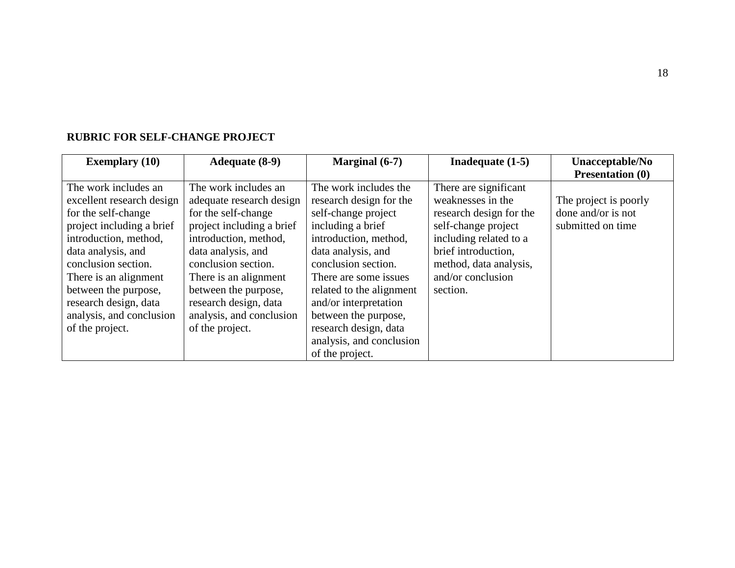| <b>Exemplary</b> (10)     | <b>Adequate (8-9)</b>     | Marginal (6-7)           | Inadequate $(1-5)$      | Unacceptable/No         |
|---------------------------|---------------------------|--------------------------|-------------------------|-------------------------|
|                           |                           |                          |                         | <b>Presentation (0)</b> |
| The work includes an      | The work includes an      | The work includes the    | There are significant   |                         |
| excellent research design | adequate research design  | research design for the  | weaknesses in the       | The project is poorly   |
| for the self-change       | for the self-change       | self-change project      | research design for the | done and/or is not      |
| project including a brief | project including a brief | including a brief        | self-change project     | submitted on time       |
| introduction, method,     | introduction, method,     | introduction, method,    | including related to a  |                         |
| data analysis, and        | data analysis, and        | data analysis, and       | brief introduction.     |                         |
| conclusion section.       | conclusion section.       | conclusion section.      | method, data analysis,  |                         |
| There is an alignment     | There is an alignment     | There are some issues    | and/or conclusion       |                         |
| between the purpose,      | between the purpose,      | related to the alignment | section.                |                         |
| research design, data     | research design, data     | and/or interpretation    |                         |                         |
| analysis, and conclusion  | analysis, and conclusion  | between the purpose,     |                         |                         |
| of the project.           | of the project.           | research design, data    |                         |                         |
|                           |                           | analysis, and conclusion |                         |                         |
|                           |                           | of the project.          |                         |                         |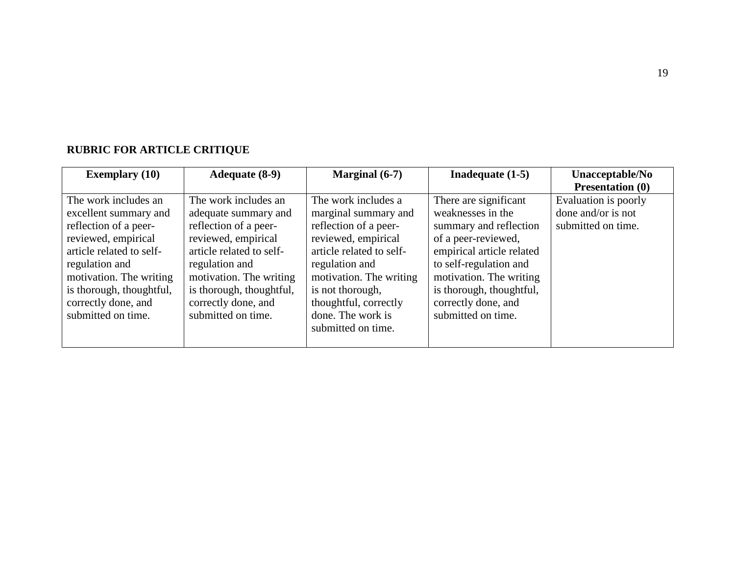# **RUBRIC FOR ARTICLE CRITIQUE**

| <b>Exemplary</b> (10)    | <b>Adequate (8-9)</b>    | Marginal $(6-7)$         | Inadequate $(1-5)$        | Unacceptable/No         |
|--------------------------|--------------------------|--------------------------|---------------------------|-------------------------|
|                          |                          |                          |                           | <b>Presentation (0)</b> |
| The work includes an     | The work includes an     | The work includes a      | There are significant     | Evaluation is poorly    |
| excellent summary and    | adequate summary and     | marginal summary and     | weaknesses in the         | done and/or is not      |
| reflection of a peer-    | reflection of a peer-    | reflection of a peer-    | summary and reflection    | submitted on time.      |
| reviewed, empirical      | reviewed, empirical      | reviewed, empirical      | of a peer-reviewed,       |                         |
| article related to self- | article related to self- | article related to self- | empirical article related |                         |
| regulation and           | regulation and           | regulation and           | to self-regulation and    |                         |
| motivation. The writing  | motivation. The writing  | motivation. The writing  | motivation. The writing   |                         |
| is thorough, thoughtful, | is thorough, thoughtful, | is not thorough,         | is thorough, thoughtful,  |                         |
| correctly done, and      | correctly done, and      | thoughtful, correctly    | correctly done, and       |                         |
| submitted on time.       | submitted on time.       | done. The work is        | submitted on time.        |                         |
|                          |                          | submitted on time.       |                           |                         |
|                          |                          |                          |                           |                         |